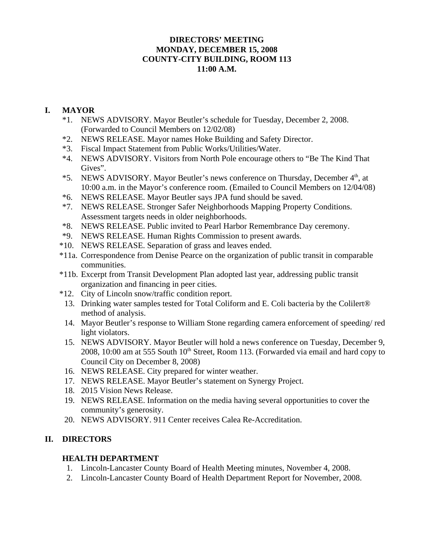# **DIRECTORS' MEETING MONDAY, DECEMBER 15, 2008 COUNTY-CITY BUILDING, ROOM 113 11:00 A.M.**

# **I. MAYOR**

- \*1. NEWS ADVISORY. Mayor Beutler's schedule for Tuesday, December 2, 2008. (Forwarded to Council Members on 12/02/08)
- \*2. NEWS RELEASE. Mayor names Hoke Building and Safety Director.
- \*3. Fiscal Impact Statement from Public Works/Utilities/Water.
- \*4. NEWS ADVISORY. Visitors from North Pole encourage others to "Be The Kind That Gives".
- \*5. NEWS ADVISORY. Mayor Beutler's news conference on Thursday, December  $4<sup>th</sup>$ , at 10:00 a.m. in the Mayor's conference room. (Emailed to Council Members on 12/04/08)
- \*6. NEWS RELEASE. Mayor Beutler says JPA fund should be saved.
- \*7. NEWS RELEASE. Stronger Safer Neighborhoods Mapping Property Conditions. Assessment targets needs in older neighborhoods.
- \*8. NEWS RELEASE. Public invited to Pearl Harbor Remembrance Day ceremony.
- \*9. NEWS RELEASE. Human Rights Commission to present awards.
- \*10. NEWS RELEASE. Separation of grass and leaves ended.
- \*11a. Correspondence from Denise Pearce on the organization of public transit in comparable communities.
- \*11b. Excerpt from Transit Development Plan adopted last year, addressing public transit organization and financing in peer cities.
- \*12. City of Lincoln snow/traffic condition report.
- 13. Drinking water samples tested for Total Coliform and E. Coli bacteria by the Colilert® method of analysis.
- 14. Mayor Beutler's response to William Stone regarding camera enforcement of speeding/ red light violators.
- 15. NEWS ADVISORY. Mayor Beutler will hold a news conference on Tuesday, December 9,  $2008$ , 10:00 am at 555 South  $10<sup>th</sup>$  Street, Room 113. (Forwarded via email and hard copy to Council City on December 8, 2008)
- 16. NEWS RELEASE. City prepared for winter weather.
- 17. NEWS RELEASE. Mayor Beutler's statement on Synergy Project.
- 18. 2015 Vision News Release.
- 19. NEWS RELEASE. Information on the media having several opportunities to cover the community's generosity.
- 20. NEWS ADVISORY. 911 Center receives Calea Re-Accreditation.

# **II. DIRECTORS**

# **HEALTH DEPARTMENT**

- 1. Lincoln-Lancaster County Board of Health Meeting minutes, November 4, 2008.
- 2. Lincoln-Lancaster County Board of Health Department Report for November, 2008.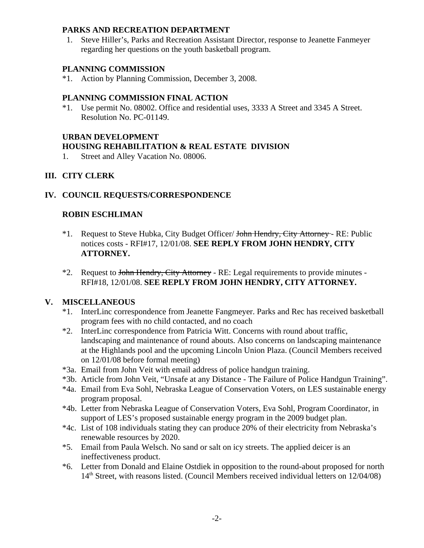#### **PARKS AND RECREATION DEPARTMENT**

 1. Steve Hiller's, Parks and Recreation Assistant Director, response to Jeanette Fanmeyer regarding her questions on the youth basketball program.

#### **PLANNING COMMISSION**

\*1. Action by Planning Commission, December 3, 2008.

#### **PLANNING COMMISSION FINAL ACTION**

\*1. Use permit No. 08002. Office and residential uses, 3333 A Street and 3345 A Street. Resolution No. PC-01149.

# **URBAN DEVELOPMENT HOUSING REHABILITATION & REAL ESTATE DIVISION**

1. Street and Alley Vacation No. 08006.

# **III. CITY CLERK**

# **IV. COUNCIL REQUESTS/CORRESPONDENCE**

# **ROBIN ESCHLIMAN**

- <sup>\*</sup>1. Request to Steve Hubka, City Budget Officer/ John Hendry, City Attorney RE: Public notices costs - RFI#17, 12/01/08. **SEE REPLY FROM JOHN HENDRY, CITY ATTORNEY.**
- \*2. Request to John Hendry, City Attorney RE: Legal requirements to provide minutes -RFI#18, 12/01/08. **SEE REPLY FROM JOHN HENDRY, CITY ATTORNEY.**

# **V. MISCELLANEOUS**

- \*1. InterLinc correspondence from Jeanette Fangmeyer. Parks and Rec has received basketball program fees with no child contacted, and no coach
- \*2. InterLinc correspondence from Patricia Witt. Concerns with round about traffic, landscaping and maintenance of round abouts. Also concerns on landscaping maintenance at the Highlands pool and the upcoming Lincoln Union Plaza. (Council Members received on 12/01/08 before formal meeting)
- \*3a. Email from John Veit with email address of police handgun training.
- \*3b. Article from John Veit, "Unsafe at any Distance The Failure of Police Handgun Training".
- \*4a. Email from Eva Sohl, Nebraska League of Conservation Voters, on LES sustainable energy program proposal.
- \*4b. Letter from Nebraska League of Conservation Voters, Eva Sohl, Program Coordinator, in support of LES's proposed sustainable energy program in the 2009 budget plan.
- \*4c. List of 108 individuals stating they can produce 20% of their electricity from Nebraska's renewable resources by 2020.
- \*5. Email from Paula Welsch. No sand or salt on icy streets. The applied deicer is an ineffectiveness product.
- \*6. Letter from Donald and Elaine Ostdiek in opposition to the round-about proposed for north 14<sup>th</sup> Street, with reasons listed. (Council Members received individual letters on 12/04/08)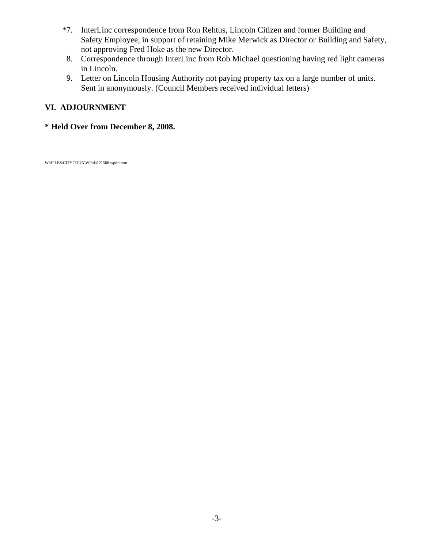- \*7. InterLinc correspondence from Ron Rehtus, Lincoln Citizen and former Building and Safety Employee, in support of retaining Mike Merwick as Director or Building and Safety, not approving Fred Hoke as the new Director.
- 8. Correspondence through InterLinc from Rob Michael questioning having red light cameras in Lincoln.
- 9. Letter on Lincoln Housing Authority not paying property tax on a large number of units. Sent in anonymously. (Council Members received individual letters)

# **VI. ADJOURNMENT**

# **\* Held Over from December 8, 2008.**

W:\FILES\CITYCOUN\WP\da121508.wpdmmm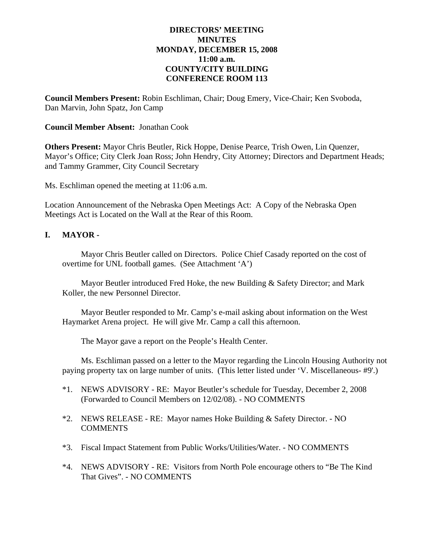#### **DIRECTORS' MEETING MINUTES MONDAY, DECEMBER 15, 2008 11:00 a.m. COUNTY/CITY BUILDING CONFERENCE ROOM 113**

**Council Members Present:** Robin Eschliman, Chair; Doug Emery, Vice-Chair; Ken Svoboda, Dan Marvin, John Spatz, Jon Camp

#### **Council Member Absent:** Jonathan Cook

**Others Present:** Mayor Chris Beutler, Rick Hoppe, Denise Pearce, Trish Owen, Lin Quenzer, Mayor's Office; City Clerk Joan Ross; John Hendry, City Attorney; Directors and Department Heads; and Tammy Grammer, City Council Secretary

Ms. Eschliman opened the meeting at 11:06 a.m.

Location Announcement of the Nebraska Open Meetings Act: A Copy of the Nebraska Open Meetings Act is Located on the Wall at the Rear of this Room.

#### **I. MAYOR -**

Mayor Chris Beutler called on Directors. Police Chief Casady reported on the cost of overtime for UNL football games. (See Attachment 'A')

Mayor Beutler introduced Fred Hoke, the new Building & Safety Director; and Mark Koller, the new Personnel Director.

Mayor Beutler responded to Mr. Camp's e-mail asking about information on the West Haymarket Arena project. He will give Mr. Camp a call this afternoon.

The Mayor gave a report on the People's Health Center.

Ms. Eschliman passed on a letter to the Mayor regarding the Lincoln Housing Authority not paying property tax on large number of units. (This letter listed under 'V. Miscellaneous- #9'.)

- \*1. NEWS ADVISORY RE: Mayor Beutler's schedule for Tuesday, December 2, 2008 (Forwarded to Council Members on 12/02/08). - NO COMMENTS
- \*2. NEWS RELEASE RE: Mayor names Hoke Building & Safety Director. NO COMMENTS
- \*3. Fiscal Impact Statement from Public Works/Utilities/Water. NO COMMENTS
- \*4. NEWS ADVISORY RE: Visitors from North Pole encourage others to "Be The Kind That Gives". - NO COMMENTS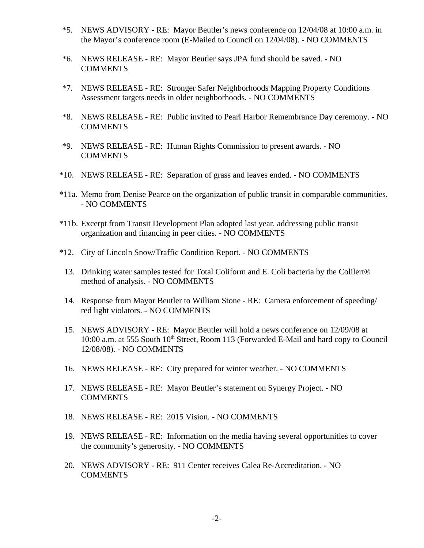- \*5. NEWS ADVISORY RE: Mayor Beutler's news conference on 12/04/08 at 10:00 a.m. in the Mayor's conference room (E-Mailed to Council on 12/04/08). - NO COMMENTS
- \*6. NEWS RELEASE RE: Mayor Beutler says JPA fund should be saved. NO **COMMENTS**
- \*7. NEWS RELEASE RE: Stronger Safer Neighborhoods Mapping Property Conditions Assessment targets needs in older neighborhoods. - NO COMMENTS
- \*8. NEWS RELEASE RE: Public invited to Pearl Harbor Remembrance Day ceremony. NO **COMMENTS**
- \*9. NEWS RELEASE RE: Human Rights Commission to present awards. NO **COMMENTS**
- \*10. NEWS RELEASE RE: Separation of grass and leaves ended. NO COMMENTS
- \*11a. Memo from Denise Pearce on the organization of public transit in comparable communities. - NO COMMENTS
- \*11b. Excerpt from Transit Development Plan adopted last year, addressing public transit organization and financing in peer cities. - NO COMMENTS
- \*12. City of Lincoln Snow/Traffic Condition Report. NO COMMENTS
	- 13. Drinking water samples tested for Total Coliform and E. Coli bacteria by the Colilert® method of analysis. - NO COMMENTS
	- 14. Response from Mayor Beutler to William Stone RE: Camera enforcement of speeding/ red light violators. - NO COMMENTS
	- 15. NEWS ADVISORY RE: Mayor Beutler will hold a news conference on 12/09/08 at 10:00 a.m. at 555 South 10<sup>th</sup> Street, Room 113 (Forwarded E-Mail and hard copy to Council 12/08/08). - NO COMMENTS
	- 16. NEWS RELEASE RE: City prepared for winter weather. NO COMMENTS
	- 17. NEWS RELEASE RE: Mayor Beutler's statement on Synergy Project. NO **COMMENTS**
	- 18. NEWS RELEASE RE: 2015 Vision. NO COMMENTS
	- 19. NEWS RELEASE RE: Information on the media having several opportunities to cover the community's generosity. - NO COMMENTS
	- 20. NEWS ADVISORY RE: 911 Center receives Calea Re-Accreditation. NO **COMMENTS**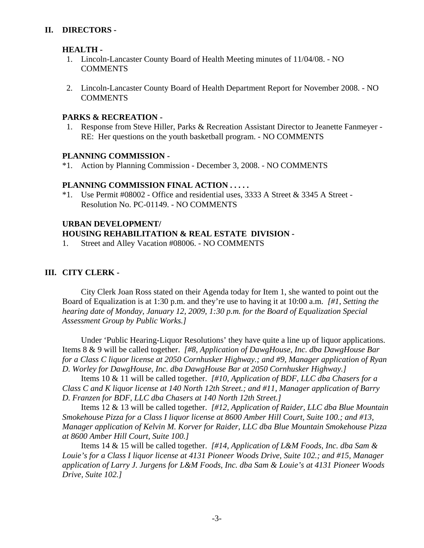#### **HEALTH -**

- 1. Lincoln-Lancaster County Board of Health Meeting minutes of 11/04/08. NO **COMMENTS**
- 2. Lincoln-Lancaster County Board of Health Department Report for November 2008. NO **COMMENTS**

#### **PARKS & RECREATION -**

 1. Response from Steve Hiller, Parks & Recreation Assistant Director to Jeanette Fanmeyer - RE: Her questions on the youth basketball program. - NO COMMENTS

#### **PLANNING COMMISSION -**

\*1. Action by Planning Commission - December 3, 2008. - NO COMMENTS

#### **PLANNING COMMISSION FINAL ACTION . . . . .**

\*1. Use Permit #08002 - Office and residential uses, 3333 A Street & 3345 A Street - Resolution No. PC-01149. - NO COMMENTS

#### **URBAN DEVELOPMENT/**

#### **HOUSING REHABILITATION & REAL ESTATE DIVISION -**

1. Street and Alley Vacation #08006. - NO COMMENTS

# **III. CITY CLERK -**

City Clerk Joan Ross stated on their Agenda today for Item 1, she wanted to point out the Board of Equalization is at 1:30 p.m. and they're use to having it at 10:00 a.m. *[#1, Setting the hearing date of Monday, January 12, 2009, 1:30 p.m. for the Board of Equalization Special Assessment Group by Public Works.]*

Under 'Public Hearing-Liquor Resolutions' they have quite a line up of liquor applications. Items 8 & 9 will be called together. *[#8, Application of DawgHouse, Inc. dba DawgHouse Bar for a Class C liquor license at 2050 Cornhusker Highway.; and #9, Manager application of Ryan D. Worley for DawgHouse, Inc. dba DawgHouse Bar at 2050 Cornhusker Highway.]*

Items 10 & 11 will be called together. *[#10, Application of BDF, LLC dba Chasers for a Class C and K liquor license at 140 North 12th Street.; and #11, Manager application of Barry D. Franzen for BDF, LLC dba Chasers at 140 North 12th Street.]*

Items 12 & 13 will be called together. *[#12, Application of Raider, LLC dba Blue Mountain Smokehouse Pizza for a Class I liquor license at 8600 Amber Hill Court, Suite 100.; and #13, Manager application of Kelvin M. Korver for Raider, LLC dba Blue Mountain Smokehouse Pizza at 8600 Amber Hill Court, Suite 100.]*

Items 14 & 15 will be called together. *[#14, Application of L&M Foods, Inc. dba Sam & Louie's for a Class I liquor license at 4131 Pioneer Woods Drive, Suite 102.; and #15, Manager application of Larry J. Jurgens for L&M Foods, Inc. dba Sam & Louie's at 4131 Pioneer Woods Drive, Suite 102.]*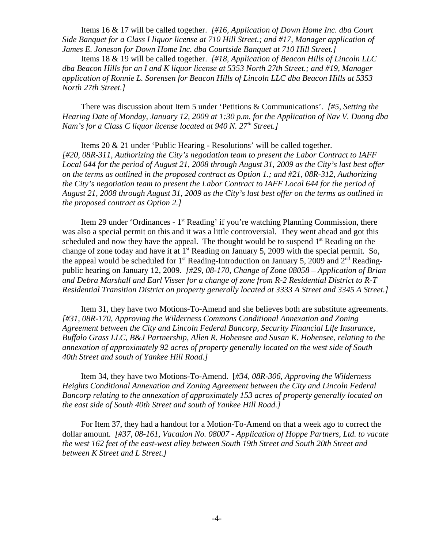Items 16 & 17 will be called together. *[#16, Application of Down Home Inc. dba Court Side Banquet for a Class I liquor license at 710 Hill Street.; and #17, Manager application of James E. Joneson for Down Home Inc. dba Courtside Banquet at 710 Hill Street.]*

Items 18 & 19 will be called together. *[#18, Application of Beacon Hills of Lincoln LLC dba Beacon Hills for an I and K liquor license at 5353 North 27th Street.; and #19, Manager application of Ronnie L. Sorensen for Beacon Hills of Lincoln LLC dba Beacon Hills at 5353 North 27th Street.]*

There was discussion about Item 5 under 'Petitions & Communications'. *[#5, Setting the Hearing Date of Monday, January 12, 2009 at 1:30 p.m. for the Application of Nav V. Duong dba Nam's for a Class C liquor license located at 940 N. 27<sup>th</sup> Street.]* 

Items 20 & 21 under 'Public Hearing - Resolutions' will be called together. *[#20, 08R-311, Authorizing the City's negotiation team to present the Labor Contract to IAFF Local 644 for the period of August 21, 2008 through August 31, 2009 as the City's last best offer on the terms as outlined in the proposed contract as Option 1.; and #21, 08R-312, Authorizing the City's negotiation team to present the Labor Contract to IAFF Local 644 for the period of August 21, 2008 through August 31, 2009 as the City's last best offer on the terms as outlined in the proposed contract as Option 2.]* 

Item 29 under 'Ordinances - 1<sup>st</sup> Reading' if you're watching Planning Commission, there was also a special permit on this and it was a little controversial. They went ahead and got this scheduled and now they have the appeal. The thought would be to suspend  $1<sup>st</sup>$  Reading on the change of zone today and have it at  $1<sup>st</sup>$  Reading on January 5, 2009 with the special permit. So, the appeal would be scheduled for  $1<sup>st</sup>$  Reading-Introduction on January 5, 2009 and  $2<sup>nd</sup>$  Readingpublic hearing on January 12, 2009. *[#29, 08-170, Change of Zone 08058 – Application of Brian and Debra Marshall and Earl Visser for a change of zone from R-2 Residential District to R-T Residential Transition District on property generally located at 3333 A Street and 3345 A Street.]*

Item 31, they have two Motions-To-Amend and she believes both are substitute agreements. *[#31, 08R-170, Approving the Wilderness Commons Conditional Annexation and Zoning Agreement between the City and Lincoln Federal Bancorp, Security Financial Life Insurance, Buffalo Grass LLC, B&J Partnership, Allen R. Hohensee and Susan K. Hohensee, relating to the annexation of approximately 92 acres of property generally located on the west side of South 40th Street and south of Yankee Hill Road.]*

Item 34, they have two Motions-To-Amend. [*#34, 08R-306, Approving the Wilderness Heights Conditional Annexation and Zoning Agreement between the City and Lincoln Federal Bancorp relating to the annexation of approximately 153 acres of property generally located on the east side of South 40th Street and south of Yankee Hill Road.]* 

For Item 37, they had a handout for a Motion-To-Amend on that a week ago to correct the dollar amount. *[#37, 08-161, Vacation No. 08007 - Application of Hoppe Partners, Ltd. to vacate the west 162 feet of the east-west alley between South 19th Street and South 20th Street and between K Street and L Street.]*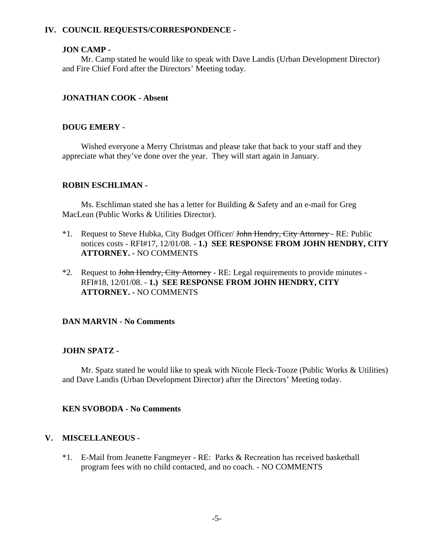# **IV. COUNCIL REQUESTS/CORRESPONDENCE -**

#### **JON CAMP -**

Mr. Camp stated he would like to speak with Dave Landis (Urban Development Director) and Fire Chief Ford after the Directors' Meeting today.

# **JONATHAN COOK - Absent**

# **DOUG EMERY -**

Wished everyone a Merry Christmas and please take that back to your staff and they appreciate what they've done over the year. They will start again in January.

# **ROBIN ESCHLIMAN -**

Ms. Eschliman stated she has a letter for Building & Safety and an e-mail for Greg MacLean (Public Works & Utilities Director).

- <sup>\*</sup>1. Request to Steve Hubka, City Budget Officer/ John Hendry, City Attorney RE: Public notices costs - RFI#17, 12/01/08. - **1.) SEE RESPONSE FROM JOHN HENDRY, CITY ATTORNEY. -** NO COMMENTS
- \*2. Request to John Hendry, City Attorney RE: Legal requirements to provide minutes -RFI#18, 12/01/08. - **1.) SEE RESPONSE FROM JOHN HENDRY, CITY ATTORNEY. -** NO COMMENTS

# **DAN MARVIN - No Comments**

# **JOHN SPATZ -**

Mr. Spatz stated he would like to speak with Nicole Fleck-Tooze (Public Works & Utilities) and Dave Landis (Urban Development Director) after the Directors' Meeting today.

# **KEN SVOBODA - No Comments**

# **V. MISCELLANEOUS -**

\*1. E-Mail from Jeanette Fangmeyer - RE: Parks & Recreation has received basketball program fees with no child contacted, and no coach. - NO COMMENTS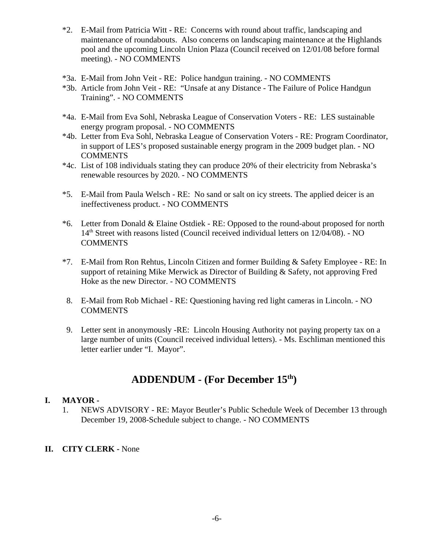- \*2. E-Mail from Patricia Witt RE: Concerns with round about traffic, landscaping and maintenance of roundabouts. Also concerns on landscaping maintenance at the Highlands pool and the upcoming Lincoln Union Plaza (Council received on 12/01/08 before formal meeting). - NO COMMENTS
- \*3a. E-Mail from John Veit RE: Police handgun training. NO COMMENTS
- \*3b. Article from John Veit RE: "Unsafe at any Distance The Failure of Police Handgun Training". - NO COMMENTS
- \*4a. E-Mail from Eva Sohl, Nebraska League of Conservation Voters RE: LES sustainable energy program proposal. - NO COMMENTS
- \*4b. Letter from Eva Sohl, Nebraska League of Conservation Voters RE: Program Coordinator, in support of LES's proposed sustainable energy program in the 2009 budget plan. - NO **COMMENTS**
- \*4c. List of 108 individuals stating they can produce 20% of their electricity from Nebraska's renewable resources by 2020. - NO COMMENTS
- \*5. E-Mail from Paula Welsch RE: No sand or salt on icy streets. The applied deicer is an ineffectiveness product. - NO COMMENTS
- \*6. Letter from Donald & Elaine Ostdiek RE: Opposed to the round-about proposed for north 14<sup>th</sup> Street with reasons listed (Council received individual letters on 12/04/08). - NO **COMMENTS**
- \*7. E-Mail from Ron Rehtus, Lincoln Citizen and former Building & Safety Employee RE: In support of retaining Mike Merwick as Director of Building & Safety, not approving Fred Hoke as the new Director. - NO COMMENTS
- 8. E-Mail from Rob Michael RE: Questioning having red light cameras in Lincoln. NO COMMENTS
- 9. Letter sent in anonymously -RE: Lincoln Housing Authority not paying property tax on a large number of units (Council received individual letters). - Ms. Eschliman mentioned this letter earlier under "I. Mayor".

# **ADDENDUM - (For December 15th)**

# **I. MAYOR -**

1. NEWS ADVISORY - RE: Mayor Beutler's Public Schedule Week of December 13 through December 19, 2008-Schedule subject to change. - NO COMMENTS

# **II. CITY CLERK -** None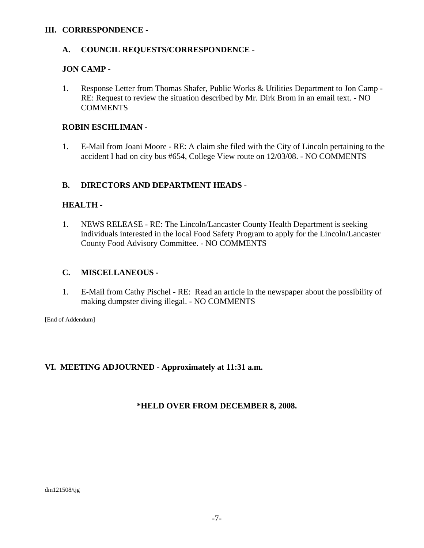#### **III. CORRESPONDENCE -**

# **A. COUNCIL REQUESTS/CORRESPONDENCE** -

# **JON CAMP -**

1. Response Letter from Thomas Shafer, Public Works & Utilities Department to Jon Camp - RE: Request to review the situation described by Mr. Dirk Brom in an email text. - NO **COMMENTS** 

#### **ROBIN ESCHLIMAN -**

1. E-Mail from Joani Moore - RE: A claim she filed with the City of Lincoln pertaining to the accident I had on city bus #654, College View route on 12/03/08. - NO COMMENTS

# **B. DIRECTORS AND DEPARTMENT HEADS -**

#### **HEALTH -**

1. NEWS RELEASE - RE: The Lincoln/Lancaster County Health Department is seeking individuals interested in the local Food Safety Program to apply for the Lincoln/Lancaster County Food Advisory Committee. - NO COMMENTS

#### **C. MISCELLANEOUS -**

1. E-Mail from Cathy Pischel - RE: Read an article in the newspaper about the possibility of making dumpster diving illegal. - NO COMMENTS

[End of Addendum]

# **VI. MEETING ADJOURNED - Approximately at 11:31 a.m.**

# **\*HELD OVER FROM DECEMBER 8, 2008.**